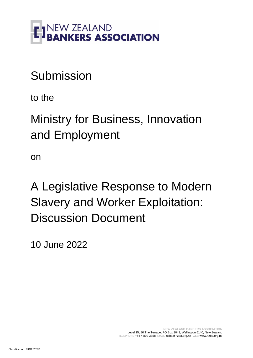

# Submission

to the

Ministry for Business, Innovation and Employment

on

A Legislative Response to Modern Slavery and Worker Exploitation: Discussion Document

10 June 2022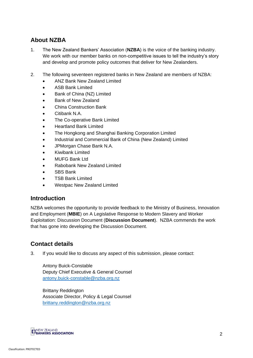## **About NZBA**

- 1. The New Zealand Bankers' Association (**NZBA**) is the voice of the banking industry. We work with our member banks on non-competitive issues to tell the industry's story and develop and promote policy outcomes that deliver for New Zealanders.
- 2. The following seventeen registered banks in New Zealand are members of NZBA:
	- ANZ Bank New Zealand Limited
	- ASB Bank Limited
	- Bank of China (NZ) Limited
	- Bank of New Zealand
	- China Construction Bank
	- Citibank N.A.
	- The Co-operative Bank Limited
	- Heartland Bank Limited
	- The Hongkong and Shanghai Banking Corporation Limited
	- Industrial and Commercial Bank of China (New Zealand) Limited
	- JPMorgan Chase Bank N.A.
	- Kiwibank Limited
	- MUFG Bank Ltd
	- Rabobank New Zealand Limited
	- SBS Bank
	- TSB Bank Limited
	- Westpac New Zealand Limited

## **Introduction**

NZBA welcomes the opportunity to provide feedback to the Ministry of Business, Innovation and Employment (**MBIE**) on A Legislative Response to Modern Slavery and Worker Exploitation: Discussion Document (**Discussion Document**). NZBA commends the work that has gone into developing the Discussion Document.

## **Contact details**

3. If you would like to discuss any aspect of this submission, please contact:

Antony Buick-Constable Deputy Chief Executive & General Counsel [antony.buick-constable@nzba.org.nz](mailto:antony.buick-constable@nzba.org.nz)

Brittany Reddington Associate Director, Policy & Legal Counsel [brittany.reddington@nzba.org.nz](mailto:olivia.bouchier@nzba.org.nz) 

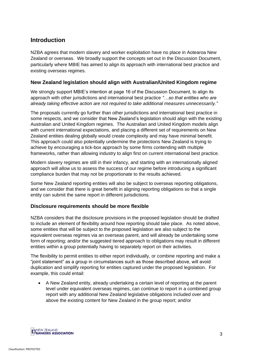## **Introduction**

NZBA agrees that modern slavery and worker exploitation have no place in Aotearoa New Zealand or overseas. We broadly support the concepts set out in the Discussion Document, particularly where MBIE has aimed to align its approach with international best practice and existing overseas regimes.

#### **New Zealand legislation should align with Australian/United Kingdom regime**

We strongly support MBIE's intention at page 16 of the Discussion Document, to align its approach with other jurisdictions and international best practice *"…so that entities who are already taking effective action are not required to take additional measures unnecessarily."*

The proposals currently go further than other jurisdictions and international best practice in some respects, and we consider that New Zealand's legislation should align with the existing Australian and United Kingdom regimes. The Australian and United Kingdom models align with current international expectations, and placing a different set of requirements on New Zealand entities dealing globally would create complexity and may have minimal benefit. This approach could also potentially undermine the protections New Zealand is trying to achieve by encouraging a tick-box approach by some firms contending with multiple frameworks, rather than allowing industry to align first on current international best practice.

Modern slavery regimes are still in their infancy, and starting with an internationally aligned approach will allow us to assess the success of our regime before introducing a significant compliance burden that may not be proportionate to the results achieved.

Some New Zealand reporting entities will also be subject to overseas reporting obligations, and we consider that there is great benefit in aligning reporting obligations so that a single entity can submit the same report in different jurisdictions.

#### **Disclosure requirements should be more flexible**

NZBA considers that the disclosure provisions in the proposed legislation should be drafted to include an element of flexibility around how reporting should take place. As noted above, some entities that will be subject to the proposed legislation are also subject to the equivalent overseas regimes via an overseas parent, and will already be undertaking some form of reporting; and/or the suggested tiered approach to obligations may result in different entities within a group potentially having to separately report on their activities.

The flexibility to permit entities to either report individually, or combine reporting and make a "joint statement" as a group in circumstances such as those described above, will avoid duplication and simplify reporting for entities captured under the proposed legislation. For example, this could entail:

• A New Zealand entity, already undertaking a certain level of reporting at the parent level under equivalent overseas regimes, can continue to report in a combined group report with any additional New Zealand legislative obligations included over and above the existing content for New Zealand in the group report; and/or

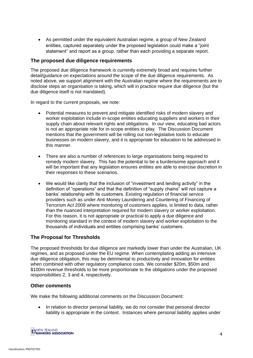• As permitted under the equivalent Australian regime, a group of New Zealand entities, captured separately under the proposed legislation could make a "joint statement" and report as a group, rather than each providing a separate report.

#### **The proposed due diligence requirements**

The proposed due diligence framework is currently extremely broad and requires further detail/guidance on expectations around the scope of the due diligence requirements. As noted above, we support alignment with the Australian regime where the requirements are to disclose steps an organisation is taking, which will in practice require due diligence (but the due diligence itself is not mandated).

In regard to the current proposals, we note:

- Potential measures to prevent and mitigate identified risks of modern slavery and worker exploitation include in-scope entities educating suppliers and workers in their supply chain about relevant rights and obligations. In our view, educating bad actors is not an appropriate role for in-scope entities to play. The Discussion Document mentions that the government will be rolling out non-legislative tools to educate businesses on modern slavery, and it is appropriate for education to be addressed in this manner.
- There are also a number of references to large organisations being required to remedy modern slavery. This has the potential to be a burdensome approach and it will be important that any legislation ensures entities are able to exercise discretion in their responses to these scenarios.
- We would like clarity that the inclusion of "investment and lending activity" in the definition of "operations" and that the definition of "supply chains" will not capture a banks' relationship with its customers. Existing regulation of financial service providers such as under Anti Money Laundering and Countering of Financing of Terrorism Act 2009 where monitoring of customers applies, is limited to data, rather than the nuanced interpretation required for modern slavery or worker exploitation. For this reason, it is not appropriate or practical to apply a due diligence and monitoring standard in the context of modern slavery and worker exploitation to the thousands of individuals and entities comprising banks' customers.

#### **The Proposal for Thresholds**

The proposed thresholds for due diligence are markedly lower than under the Australian, UK regimes, and as proposed under the EU regime. When contemplating adding an intensive due diligence obligation, this may be detrimental to productivity and innovation for entities when combined with other regulatory compliance costs. We consider \$20m, \$50m and \$100m revenue thresholds to be more proportionate to the obligations under the proposed responsibilities 2, 3 and 4, respectively.

#### **Other comments**

We make the following additional comments on the Discussion Document:

• In relation to director personal liability, we do not consider that personal director liability is appropriate in the context. Instances where personal liability applies under